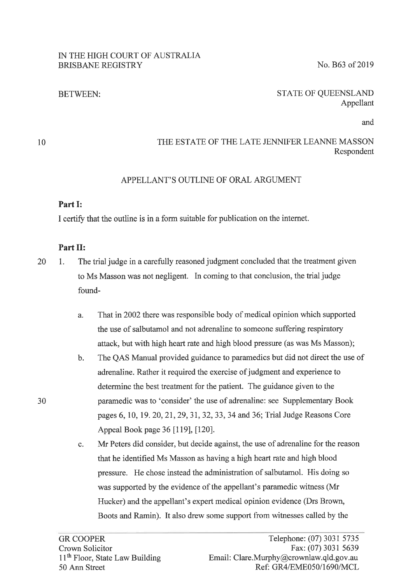#### IN THE HIGH COURT OF AUSTRALIA BRISBANE REGISTRY No. B63 of 2019

# BETWEEN:

#### STATE OF QUEENSLAND Appellant

and

10

30

# THE ESTATE OF THE LATE JENNIFER LEANNE MASSON Respondent

#### APPELLANT'S OUTLINE OF ORAL ARGUMENT

# **Part** I:

I certify that the outline is in a form suitable for publication on the internet.

# **Part** II:

- 20 1. The trial judge in a carefully reasoned judgment concluded that the treatment given to Ms Masson was not negligent. In coming to that conclusion, the trial judge found
	- a. That in 2002 there was responsible body of medical opinion which supported the use of salbutamol and not adrenaline to someone suffering respiratory attack, but with high heart rate and high blood pressure (as was Ms Masson);
	- b. The QAS Manual provided guidance to paramedics but did not direct the use of adrenaline. Rather it required the exercise of judgment and experience to determine the best treatment for the patient. The guidance given to the paramedic was to 'consider' the use of adrenaline: see Supplementary Book pages 6, 10, 19. 20, 21, 29, 31, 32, 33, 34 and 36; Trial Judge Reasons Core Appeal Book page 36 [119], [120].
	- c. Mr Peters did consider, but decide against, the use of adrenaline for the reason that he identified Ms Masson as having a high heart rate and high blood pressure. He chose instead the administration of salbutamol. His doing so was supported by the evidence of the appellant's paramedic witness (Mr Hucker) and the appellant's expert medical opinion evidence (Drs Brown, Boots and Ramin). It also drew some support from witnesses called by the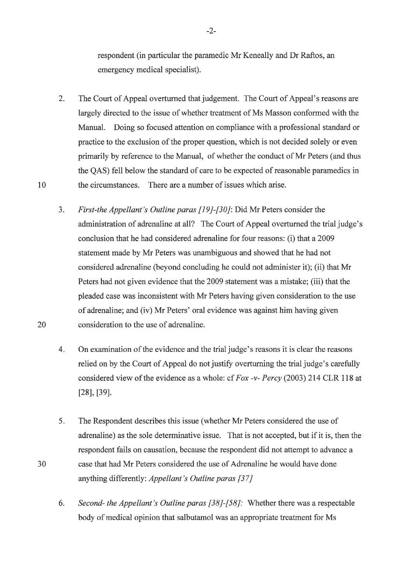respondent (in particular the paramedic Mr Keneally and Dr Raftos, an emergency medical specialist).

- 2. The Court of Appeal overturned that judgement. The Court of Appeal's reasons are largely directed to the issue of whether treatment of Ms Masson conformed with the Manual. Doing so focused attention on compliance with a professional standard or practice to the exclusion of the proper question, which is not decided solely or even primarily by reference to the Manual, of whether the conduct of Mr Peters ( and thus the QAS) fell below the standard of care to be expected of reasonable paramedics in 10 the circumstances. There are a number of issues which arise.
	- 3. *First-the Appellant's Outline paras [19]-[30]:* Did Mr Peters consider the administration of adrenaline at all? The Court of Appeal overturned the trial judge's conclusion that he had considered adrenaline for four reasons: (i) that a 2009 statement made by Mr Peters was unambiguous and showed that he had not considered adrenaline (beyond concluding he could not administer it); (ii) that Mr Peters had not given evidence that the 2009 statement was a mistake; (iii) that the pleaded case was inconsistent with Mr Peters having given consideration to the use of adrenaline; and (iv) Mr Peters' oral evidence was against him having given consideration to the use of adrenaline.
	- 4. On examination of the evidence and the trial judge's reasons it is clear the reasons relied on by the Court of Appeal do not justify overturning the trial judge's carefully considered view of the evidence as a whole: cf *Fox -v- Percy* (2003) 214 CLR 118 at [28], [39].
	- 5. The Respondent describes this issue (whether Mr Peters considered the use of adrenaline) as the sole determinative issue. That is not accepted, but if it is, then the respondent fails on causation, because the respondent did not attempt to advance a case that had Mr Peters considered the use of Adrenaline he would have done anything differently: *Appellant's Outline paras [37]*
	- 6. *Second- the Appellant's Outline paras [38]-[58]:* Whether there was a respectable body of medical opinion that salbutamol was an appropriate treatment for Ms

-2-

20

30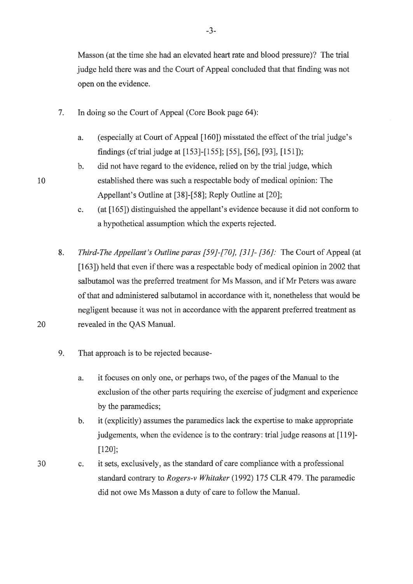Masson (at the time she had an elevated heart rate and blood pressure)? The trial judge held there was and the Court of Appeal concluded that that finding was not open on the evidence.

- 7. In doing so the Court of Appeal (Core Book page 64):
	- a. (especially at Court of Appeal [160]) misstated the effect of the trial judge's findings (cf trial judge at [153]-[155]; [55], [56], [93], [151]);
- b. did not have regard to the evidence, relied on by the trial judge, which 10 established there was such a respectable body of medical opinion: The Appellant's Outline at [38]-[58]; Reply Outline at [20];
	- c. (at [165]) distinguished the appellant's evidence because it did not conform to a hypothetical assumption which the experts rejected.
- 8. *Third-The Appellant's Outline paras [59]-[70], [31]- [36]:* The Court of Appeal (at [163]) held that even if there was a respectable body of medical opinion in 2002 that salbutamol was the preferred treatment for Ms Masson, and if Mr Peters was aware of that and administered salbutamol in accordance with it, nonetheless that would be negligent because it was not in accordance with the apparent preferred treatment as 20 revealed in the QAS Manual.
	- 9. That approach is to be rejected because
		- a. it focuses on only one, or perhaps two, of the pages of the Manual to the exclusion of the other parts requiring the exercise of judgment and experience by the paramedics;
		- b. it (explicitly) assumes the paramedics lack the expertise to make appropriate judgements, when the evidence is to the contrary: trial judge reasons at [119]-[120];
	- C. it sets, exclusively, as the standard of care compliance with a professional standard contrary to *Rogers-v Whitaker* (1992) 175 CLR 479. The paramedic did not owe Ms Masson a duty of care to follow the Manual.

30